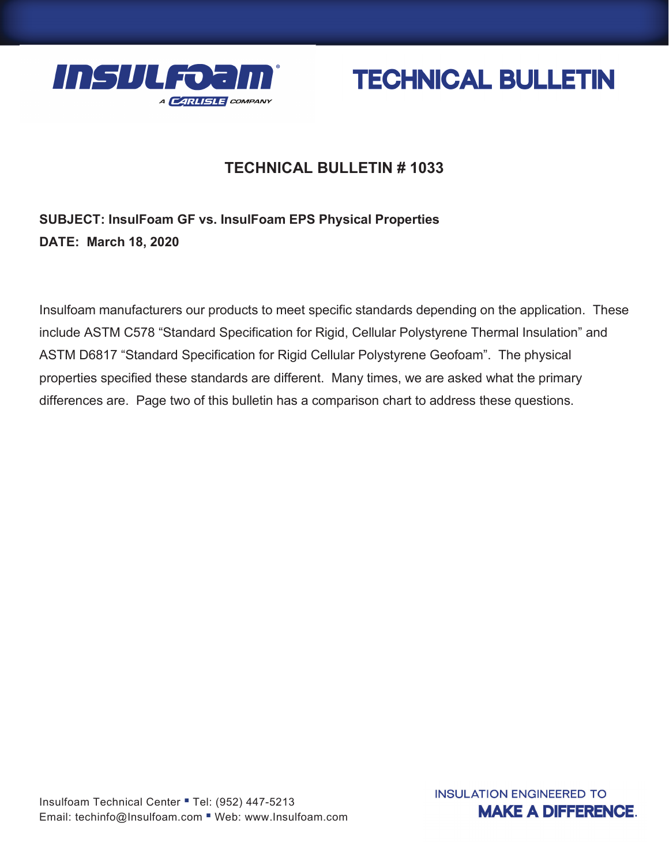



## **TECHNICAL BULLETIN # 1033**

## **SUBJECT: InsulFoam GF vs. InsulFoam EPS Physical Properties DATE: March 18, 2020**

Insulfoam manufacturers our products to meet specific standards depending on the application. These include ASTM C578 "Standard Specification for Rigid, Cellular Polystyrene Thermal Insulation" and ASTM D6817 "Standard Specification for Rigid Cellular Polystyrene Geofoam". The physical properties specified these standards are different. Many times, we are asked what the primary differences are. Page two of this bulletin has a comparison chart to address these questions.